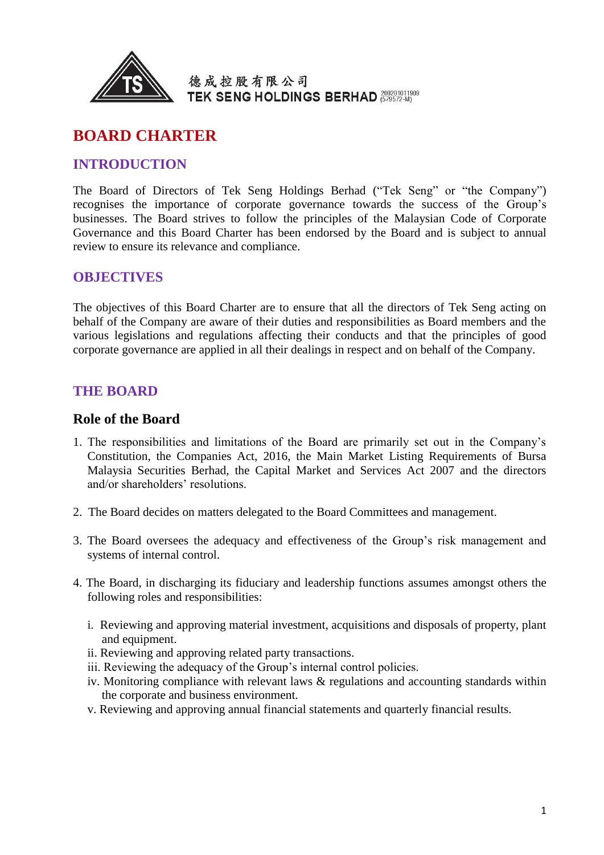

# **BOARD CHARTER**

### **INTRODUCTION**

The Board of Directors of Tek Seng Holdings Berhad ("Tek Seng" or "the Company") recognises the importance of corporate governance towards the success of the Group's businesses. The Board strives to follow the principles of the Malaysian Code of Corporate Governance and this Board Charter has been endorsed by the Board and is subject to annual review to ensure its relevance and compliance.

### **OBJECTIVES**

The objectives of this Board Charter are to ensure that all the directors of Tek Seng acting on behalf of the Company are aware of their duties and responsibilities as Board members and the various legislations and regulations affecting their conducts and that the principles of good corporate governance are applied in all their dealings in respect and on behalf of the Company.

### **THE BOARD**

#### **Role of the Board**

- 1. The responsibilities and limitations of the Board are primarily set out in the Company's Constitution, the Companies Act, 2016, the Main Market Listing Requirements of Bursa Malaysia Securities Berhad, the Capital Market and Services Act 2007 and the directors and/or shareholders' resolutions.
- 2. The Board decides on matters delegated to the Board Committees and management.
- 3. The Board oversees the adequacy and effectiveness of the Group's risk management and systems of internal control.
- 4. The Board, in discharging its fiduciary and leadership functions assumes amongst others the following roles and responsibilities:
	- i. Reviewing and approving material investment, acquisitions and disposals of property, plant and equipment.
	- ii. Reviewing and approving related party transactions.
	- iii. Reviewing the adequacy of the Group's internal control policies.
	- iv. Monitoring compliance with relevant laws & regulations and accounting standards within the corporate and business environment.
	- v. Reviewing and approving annual financial statements and quarterly financial results.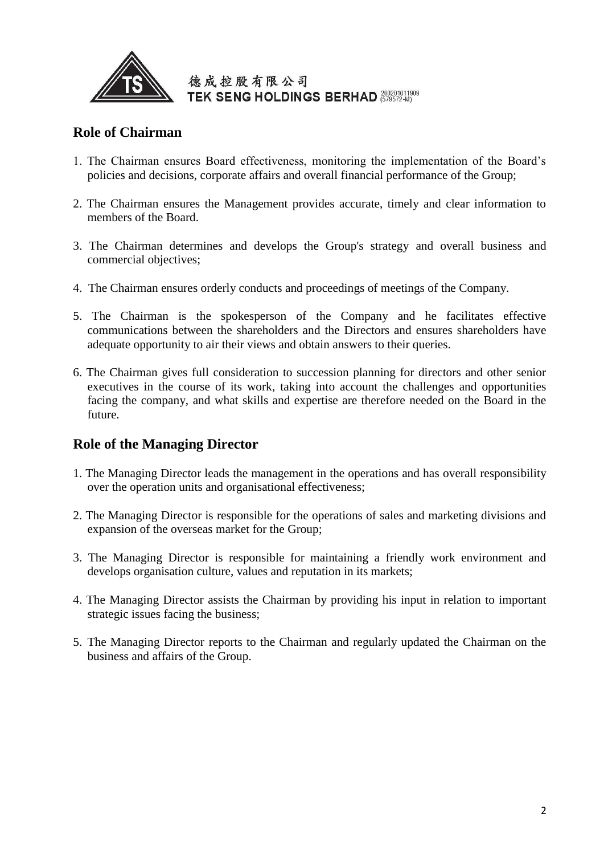

### **Role of Chairman**

- 1. The Chairman ensures Board effectiveness, monitoring the implementation of the Board's policies and decisions, corporate affairs and overall financial performance of the Group;
- 2. The Chairman ensures the Management provides accurate, timely and clear information to members of the Board.
- 3. The Chairman determines and develops the Group's strategy and overall business and commercial objectives;
- 4. The Chairman ensures orderly conducts and proceedings of meetings of the Company.
- 5. The Chairman is the spokesperson of the Company and he facilitates effective communications between the shareholders and the Directors and ensures shareholders have adequate opportunity to air their views and obtain answers to their queries.
- 6. The Chairman gives full consideration to succession planning for directors and other senior executives in the course of its work, taking into account the challenges and opportunities facing the company, and what skills and expertise are therefore needed on the Board in the future.

## **Role of the Managing Director**

- 1. The Managing Director leads the management in the operations and has overall responsibility over the operation units and organisational effectiveness;
- 2. The Managing Director is responsible for the operations of sales and marketing divisions and expansion of the overseas market for the Group;
- 3. The Managing Director is responsible for maintaining a friendly work environment and develops organisation culture, values and reputation in its markets;
- 4. The Managing Director assists the Chairman by providing his input in relation to important strategic issues facing the business;
- 5. The Managing Director reports to the Chairman and regularly updated the Chairman on the business and affairs of the Group.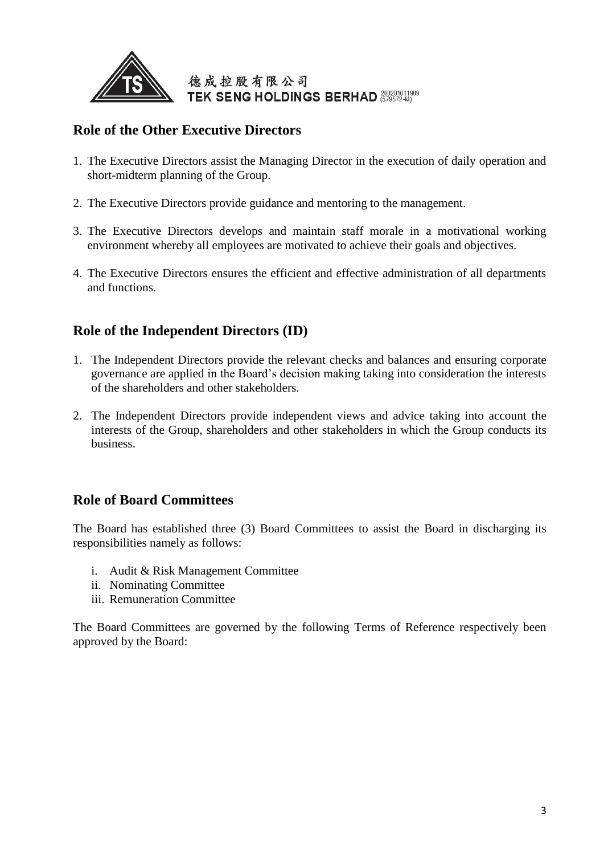

## **Role of the Other Executive Directors**

- 1. The Executive Directors assist the Managing Director in the execution of daily operation and short-midterm planning of the Group.
- 2. The Executive Directors provide guidance and mentoring to the management.
- 3. The Executive Directors develops and maintain staff morale in a motivational working environment whereby all employees are motivated to achieve their goals and objectives.
- 4. The Executive Directors ensures the efficient and effective administration of all departments and functions.

## **Role of the Independent Directors (ID)**

- 1. The Independent Directors provide the relevant checks and balances and ensuring corporate governance are applied in the Board's decision making taking into consideration the interests of the shareholders and other stakeholders.
- 2. The Independent Directors provide independent views and advice taking into account the interests of the Group, shareholders and other stakeholders in which the Group conducts its business.

### **Role of Board Committees**

The Board has established three (3) Board Committees to assist the Board in discharging its responsibilities namely as follows:

- i. Audit & Risk Management Committee
- ii. Nominating Committee
- iii. Remuneration Committee

The Board Committees are governed by the following Terms of Reference respectively been approved by the Board: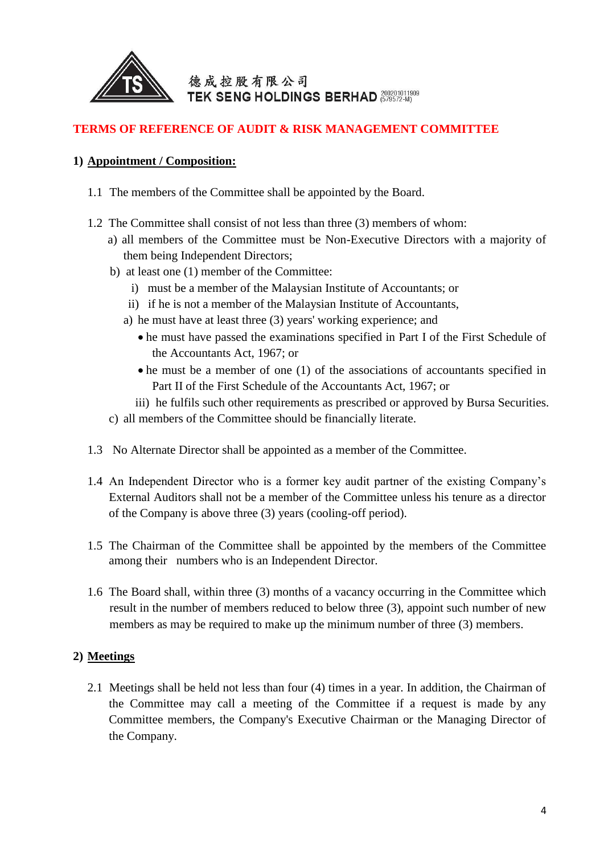

### **TERMS OF REFERENCE OF AUDIT & RISK MANAGEMENT COMMITTEE**

#### **1) Appointment / Composition:**

- 1.1 The members of the Committee shall be appointed by the Board.
- 1.2 The Committee shall consist of not less than three (3) members of whom:
	- a) all members of the Committee must be Non-Executive Directors with a majority of them being Independent Directors;
	- b) at least one (1) member of the Committee:
		- i) must be a member of the Malaysian Institute of Accountants; or
		- ii) if he is not a member of the Malaysian Institute of Accountants,
		- a) he must have at least three (3) years' working experience; and
			- he must have passed the examinations specified in Part I of the First Schedule of the Accountants Act, 1967; or
			- he must be a member of one (1) of the associations of accountants specified in Part II of the First Schedule of the Accountants Act, 1967; or
			- iii) he fulfils such other requirements as prescribed or approved by Bursa Securities.
	- c) all members of the Committee should be financially literate.
- 1.3 No Alternate Director shall be appointed as a member of the Committee.
- 1.4 An Independent Director who is a former key audit partner of the existing Company's External Auditors shall not be a member of the Committee unless his tenure as a director of the Company is above three (3) years (cooling-off period).
- 1.5 The Chairman of the Committee shall be appointed by the members of the Committee among their numbers who is an Independent Director.
- 1.6 The Board shall, within three (3) months of a vacancy occurring in the Committee which result in the number of members reduced to below three (3), appoint such number of new members as may be required to make up the minimum number of three (3) members.

### **2) Meetings**

2.1 Meetings shall be held not less than four (4) times in a year. In addition, the Chairman of the Committee may call a meeting of the Committee if a request is made by any Committee members, the Company's Executive Chairman or the Managing Director of the Company.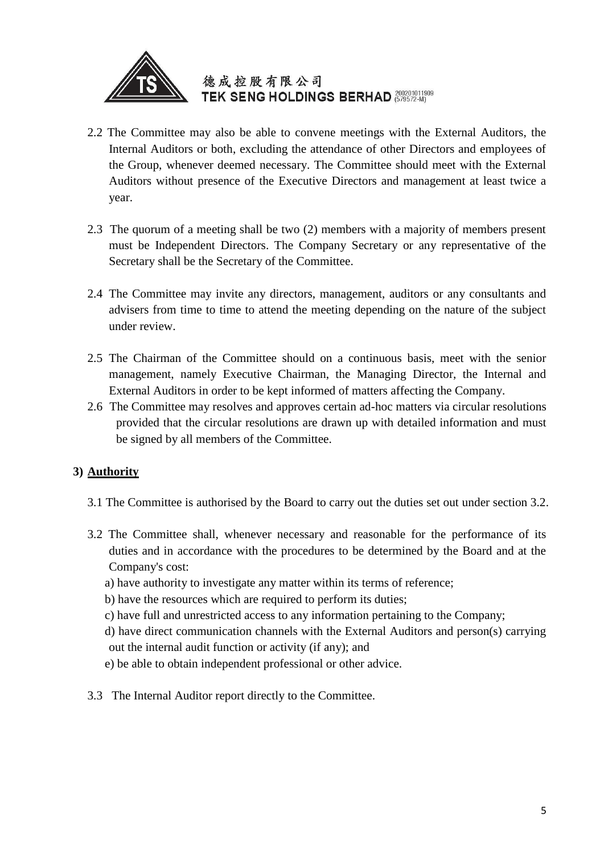

- 2.2 The Committee may also be able to convene meetings with the External Auditors, the Internal Auditors or both, excluding the attendance of other Directors and employees of the Group, whenever deemed necessary. The Committee should meet with the External Auditors without presence of the Executive Directors and management at least twice a year.
- 2.3 The quorum of a meeting shall be two (2) members with a majority of members present must be Independent Directors. The Company Secretary or any representative of the Secretary shall be the Secretary of the Committee.
- 2.4 The Committee may invite any directors, management, auditors or any consultants and advisers from time to time to attend the meeting depending on the nature of the subject under review.
- 2.5 The Chairman of the Committee should on a continuous basis, meet with the senior management, namely Executive Chairman, the Managing Director, the Internal and External Auditors in order to be kept informed of matters affecting the Company.
- 2.6 The Committee may resolves and approves certain ad-hoc matters via circular resolutions provided that the circular resolutions are drawn up with detailed information and must be signed by all members of the Committee.

## **3) Authority**

- 3.1 The Committee is authorised by the Board to carry out the duties set out under section 3.2.
- 3.2 The Committee shall, whenever necessary and reasonable for the performance of its duties and in accordance with the procedures to be determined by the Board and at the Company's cost:
	- a) have authority to investigate any matter within its terms of reference;
	- b) have the resources which are required to perform its duties;
	- c) have full and unrestricted access to any information pertaining to the Company;
	- d) have direct communication channels with the External Auditors and person(s) carrying out the internal audit function or activity (if any); and
	- e) be able to obtain independent professional or other advice.
- 3.3 The Internal Auditor report directly to the Committee.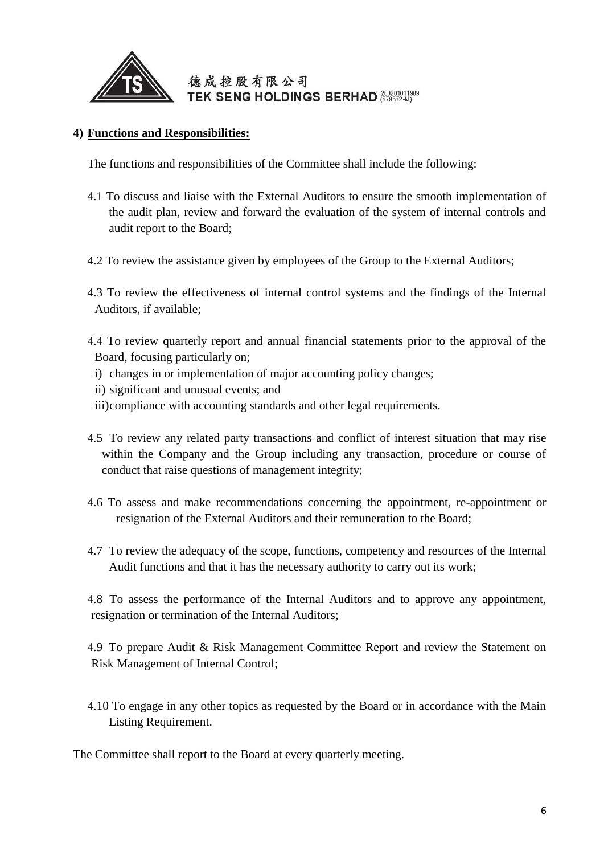

#### **4) Functions and Responsibilities:**

The functions and responsibilities of the Committee shall include the following:

- 4.1 To discuss and liaise with the External Auditors to ensure the smooth implementation of the audit plan, review and forward the evaluation of the system of internal controls and audit report to the Board;
- 4.2 To review the assistance given by employees of the Group to the External Auditors;
- 4.3 To review the effectiveness of internal control systems and the findings of the Internal Auditors, if available;
- 4.4 To review quarterly report and annual financial statements prior to the approval of the Board, focusing particularly on;
	- i) changes in or implementation of major accounting policy changes;
	- ii) significant and unusual events; and
	- iii)compliance with accounting standards and other legal requirements.
- 4.5 To review any related party transactions and conflict of interest situation that may rise within the Company and the Group including any transaction, procedure or course of conduct that raise questions of management integrity;
- 4.6 To assess and make recommendations concerning the appointment, re-appointment or resignation of the External Auditors and their remuneration to the Board;
- 4.7 To review the adequacy of the scope, functions, competency and resources of the Internal Audit functions and that it has the necessary authority to carry out its work;

4.8 To assess the performance of the Internal Auditors and to approve any appointment, resignation or termination of the Internal Auditors;

4.9 To prepare Audit & Risk Management Committee Report and review the Statement on Risk Management of Internal Control;

4.10 To engage in any other topics as requested by the Board or in accordance with the Main Listing Requirement.

The Committee shall report to the Board at every quarterly meeting.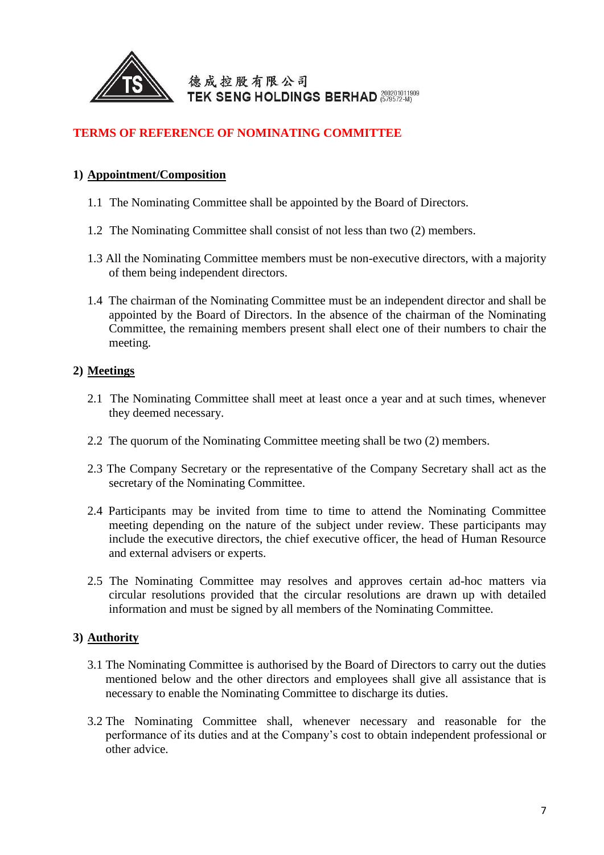

### **TERMS OF REFERENCE OF NOMINATING COMMITTEE**

#### **1) Appointment/Composition**

- 1.1 The Nominating Committee shall be appointed by the Board of Directors.
- 1.2 The Nominating Committee shall consist of not less than two (2) members.
- 1.3 All the Nominating Committee members must be non-executive directors, with a majority of them being independent directors.
- 1.4 The chairman of the Nominating Committee must be an independent director and shall be appointed by the Board of Directors. In the absence of the chairman of the Nominating Committee, the remaining members present shall elect one of their numbers to chair the meeting.

#### **2) Meetings**

- 2.1 The Nominating Committee shall meet at least once a year and at such times, whenever they deemed necessary.
- 2.2 The quorum of the Nominating Committee meeting shall be two (2) members.
- 2.3 The Company Secretary or the representative of the Company Secretary shall act as the secretary of the Nominating Committee.
- 2.4 Participants may be invited from time to time to attend the Nominating Committee meeting depending on the nature of the subject under review. These participants may include the executive directors, the chief executive officer, the head of Human Resource and external advisers or experts.
- 2.5 The Nominating Committee may resolves and approves certain ad-hoc matters via circular resolutions provided that the circular resolutions are drawn up with detailed information and must be signed by all members of the Nominating Committee.

### **3) Authority**

- 3.1 The Nominating Committee is authorised by the Board of Directors to carry out the duties mentioned below and the other directors and employees shall give all assistance that is necessary to enable the Nominating Committee to discharge its duties.
- 3.2 The Nominating Committee shall, whenever necessary and reasonable for the performance of its duties and at the Company's cost to obtain independent professional or other advice.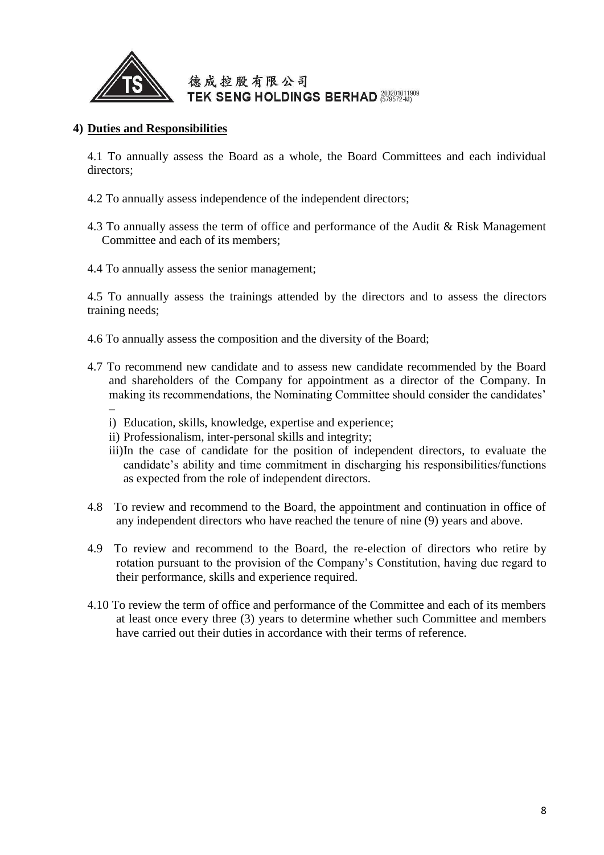

#### **4) Duties and Responsibilities**

4.1 To annually assess the Board as a whole, the Board Committees and each individual directors;

- 4.2 To annually assess independence of the independent directors;
- 4.3 To annually assess the term of office and performance of the Audit & Risk Management Committee and each of its members;
- 4.4 To annually assess the senior management;

4.5 To annually assess the trainings attended by the directors and to assess the directors training needs;

- 4.6 To annually assess the composition and the diversity of the Board;
- 4.7 To recommend new candidate and to assess new candidate recommended by the Board and shareholders of the Company for appointment as a director of the Company. In making its recommendations, the Nominating Committee should consider the candidates' –
	- i) Education, skills, knowledge, expertise and experience;
	- ii) Professionalism, inter-personal skills and integrity;
	- iii)In the case of candidate for the position of independent directors, to evaluate the candidate's ability and time commitment in discharging his responsibilities/functions as expected from the role of independent directors.
- 4.8 To review and recommend to the Board, the appointment and continuation in office of any independent directors who have reached the tenure of nine (9) years and above.
- 4.9 To review and recommend to the Board, the re-election of directors who retire by rotation pursuant to the provision of the Company's Constitution, having due regard to their performance, skills and experience required.
- 4.10 To review the term of office and performance of the Committee and each of its members at least once every three (3) years to determine whether such Committee and members have carried out their duties in accordance with their terms of reference.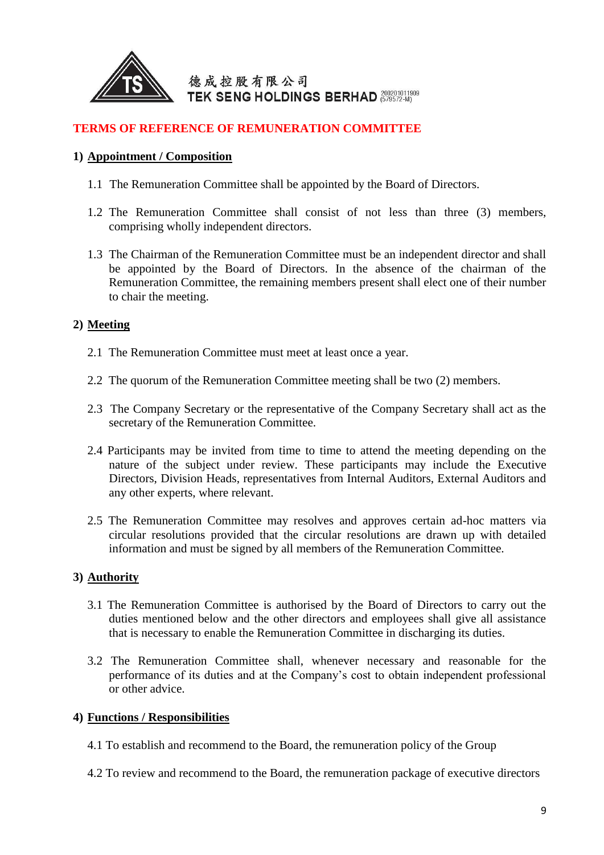

#### **TERMS OF REFERENCE OF REMUNERATION COMMITTEE**

#### **1) Appointment / Composition**

- 1.1 The Remuneration Committee shall be appointed by the Board of Directors.
- 1.2 The Remuneration Committee shall consist of not less than three (3) members, comprising wholly independent directors.
- 1.3 The Chairman of the Remuneration Committee must be an independent director and shall be appointed by the Board of Directors. In the absence of the chairman of the Remuneration Committee, the remaining members present shall elect one of their number to chair the meeting.

#### **2) Meeting**

- 2.1 The Remuneration Committee must meet at least once a year.
- 2.2 The quorum of the Remuneration Committee meeting shall be two (2) members.
- 2.3 The Company Secretary or the representative of the Company Secretary shall act as the secretary of the Remuneration Committee.
- 2.4 Participants may be invited from time to time to attend the meeting depending on the nature of the subject under review. These participants may include the Executive Directors, Division Heads, representatives from Internal Auditors, External Auditors and any other experts, where relevant.
- 2.5 The Remuneration Committee may resolves and approves certain ad-hoc matters via circular resolutions provided that the circular resolutions are drawn up with detailed information and must be signed by all members of the Remuneration Committee.

#### **3) Authority**

- 3.1 The Remuneration Committee is authorised by the Board of Directors to carry out the duties mentioned below and the other directors and employees shall give all assistance that is necessary to enable the Remuneration Committee in discharging its duties.
- 3.2 The Remuneration Committee shall, whenever necessary and reasonable for the performance of its duties and at the Company's cost to obtain independent professional or other advice.

#### **4) Functions / Responsibilities**

- 4.1 To establish and recommend to the Board, the remuneration policy of the Group
- 4.2 To review and recommend to the Board, the remuneration package of executive directors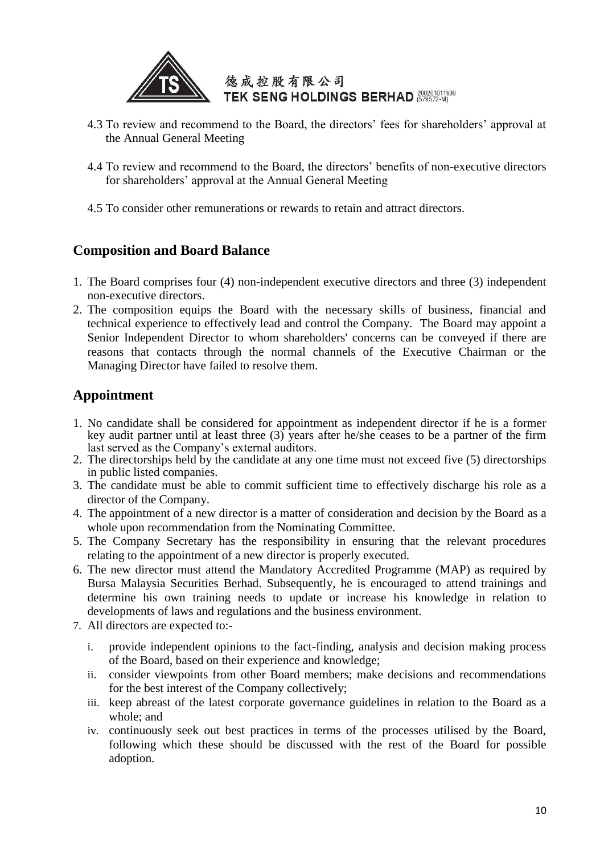

- 4.3 To review and recommend to the Board, the directors' fees for shareholders' approval at the Annual General Meeting
- 4.4 To review and recommend to the Board, the directors' benefits of non-executive directors for shareholders' approval at the Annual General Meeting
- 4.5 To consider other remunerations or rewards to retain and attract directors.

## **Composition and Board Balance**

- 1. The Board comprises four (4) non-independent executive directors and three (3) independent non-executive directors.
- 2. The composition equips the Board with the necessary skills of business, financial and technical experience to effectively lead and control the Company. The Board may appoint a Senior Independent Director to whom shareholders' concerns can be conveyed if there are reasons that contacts through the normal channels of the Executive Chairman or the Managing Director have failed to resolve them.

## **Appointment**

- 1. No candidate shall be considered for appointment as independent director if he is a former key audit partner until at least three (3) years after he/she ceases to be a partner of the firm last served as the Company's external auditors.
- 2. The directorships held by the candidate at any one time must not exceed five (5) directorships in public listed companies.
- 3. The candidate must be able to commit sufficient time to effectively discharge his role as a director of the Company.
- 4. The appointment of a new director is a matter of consideration and decision by the Board as a whole upon recommendation from the Nominating Committee.
- 5. The Company Secretary has the responsibility in ensuring that the relevant procedures relating to the appointment of a new director is properly executed.
- 6. The new director must attend the Mandatory Accredited Programme (MAP) as required by Bursa Malaysia Securities Berhad. Subsequently, he is encouraged to attend trainings and determine his own training needs to update or increase his knowledge in relation to developments of laws and regulations and the business environment.
- 7. All directors are expected to:
	- i. provide independent opinions to the fact-finding, analysis and decision making process of the Board, based on their experience and knowledge;
	- ii. consider viewpoints from other Board members; make decisions and recommendations for the best interest of the Company collectively;
	- iii. keep abreast of the latest corporate governance guidelines in relation to the Board as a whole; and
	- iv. continuously seek out best practices in terms of the processes utilised by the Board, following which these should be discussed with the rest of the Board for possible adoption.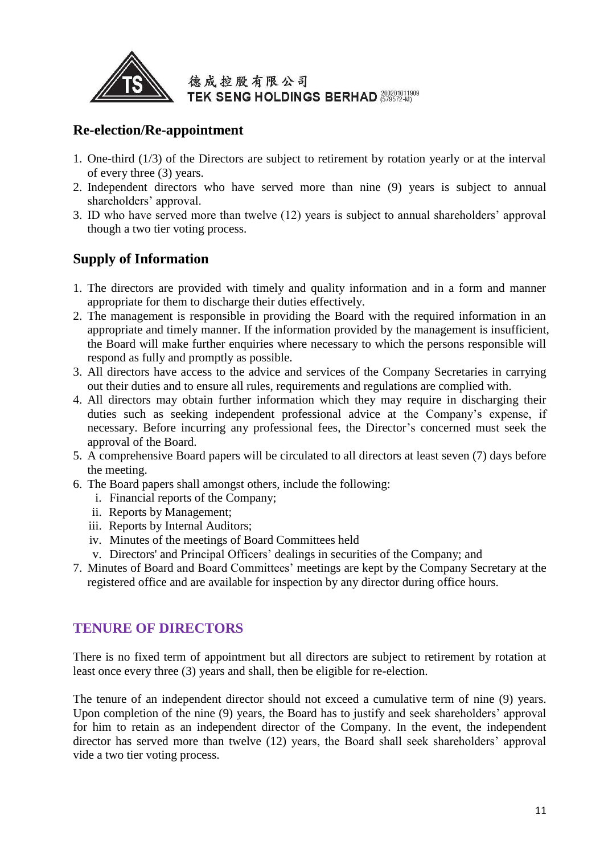

## **Re-election/Re-appointment**

- 1. One-third (1/3) of the Directors are subject to retirement by rotation yearly or at the interval of every three (3) years.
- 2. Independent directors who have served more than nine (9) years is subject to annual shareholders' approval.
- 3. ID who have served more than twelve (12) years is subject to annual shareholders' approval though a two tier voting process.

# **Supply of Information**

- 1. The directors are provided with timely and quality information and in a form and manner appropriate for them to discharge their duties effectively.
- 2. The management is responsible in providing the Board with the required information in an appropriate and timely manner. If the information provided by the management is insufficient, the Board will make further enquiries where necessary to which the persons responsible will respond as fully and promptly as possible.
- 3. All directors have access to the advice and services of the Company Secretaries in carrying out their duties and to ensure all rules, requirements and regulations are complied with.
- 4. All directors may obtain further information which they may require in discharging their duties such as seeking independent professional advice at the Company's expense, if necessary. Before incurring any professional fees, the Director's concerned must seek the approval of the Board.
- 5. A comprehensive Board papers will be circulated to all directors at least seven (7) days before the meeting.
- 6. The Board papers shall amongst others, include the following:
	- i. Financial reports of the Company;
	- ii. Reports by Management;
	- iii. Reports by Internal Auditors;
	- iv. Minutes of the meetings of Board Committees held
	- v. Directors' and Principal Officers' dealings in securities of the Company; and
- 7. Minutes of Board and Board Committees' meetings are kept by the Company Secretary at the registered office and are available for inspection by any director during office hours.

# **TENURE OF DIRECTORS**

There is no fixed term of appointment but all directors are subject to retirement by rotation at least once every three (3) years and shall, then be eligible for re-election.

The tenure of an independent director should not exceed a cumulative term of nine (9) years. Upon completion of the nine (9) years, the Board has to justify and seek shareholders' approval for him to retain as an independent director of the Company. In the event, the independent director has served more than twelve (12) years, the Board shall seek shareholders' approval vide a two tier voting process.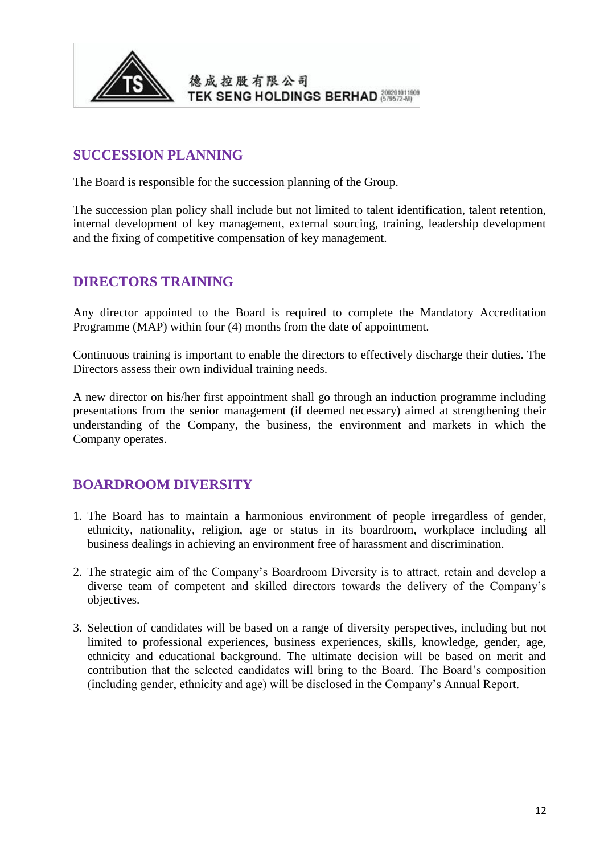

## **SUCCESSION PLANNING**

The Board is responsible for the succession planning of the Group.

The succession plan policy shall include but not limited to talent identification, talent retention, internal development of key management, external sourcing, training, leadership development and the fixing of competitive compensation of key management.

### **DIRECTORS TRAINING**

Any director appointed to the Board is required to complete the Mandatory Accreditation Programme (MAP) within four (4) months from the date of appointment.

Continuous training is important to enable the directors to effectively discharge their duties. The Directors assess their own individual training needs.

A new director on his/her first appointment shall go through an induction programme including presentations from the senior management (if deemed necessary) aimed at strengthening their understanding of the Company, the business, the environment and markets in which the Company operates.

## **BOARDROOM DIVERSITY**

- 1. The Board has to maintain a harmonious environment of people irregardless of gender, ethnicity, nationality, religion, age or status in its boardroom, workplace including all business dealings in achieving an environment free of harassment and discrimination.
- 2. The strategic aim of the Company's Boardroom Diversity is to attract, retain and develop a diverse team of competent and skilled directors towards the delivery of the Company's objectives.
- 3. Selection of candidates will be based on a range of diversity perspectives, including but not limited to professional experiences, business experiences, skills, knowledge, gender, age, ethnicity and educational background. The ultimate decision will be based on merit and contribution that the selected candidates will bring to the Board. The Board's composition (including gender, ethnicity and age) will be disclosed in the Company's Annual Report.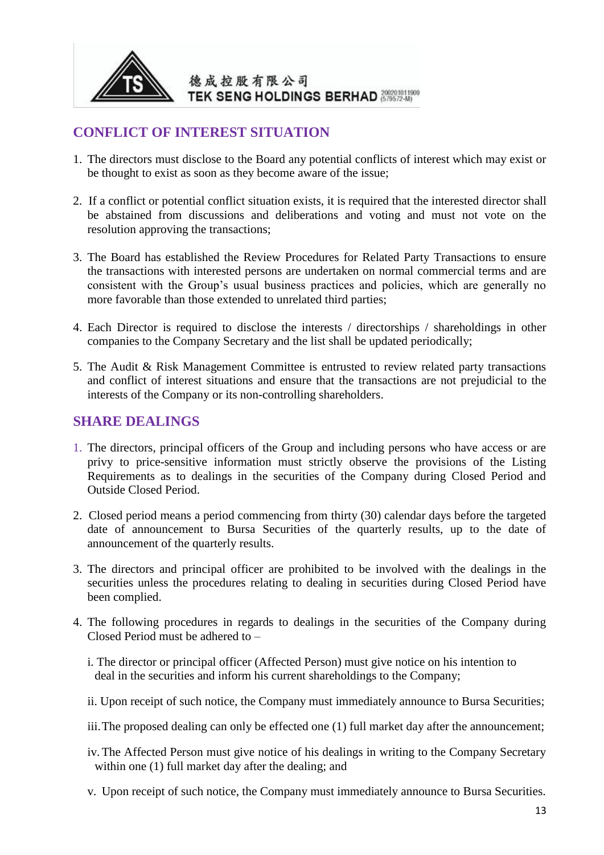

## **CONFLICT OF INTEREST SITUATION**

- 1. The directors must disclose to the Board any potential conflicts of interest which may exist or be thought to exist as soon as they become aware of the issue;
- 2. If a conflict or potential conflict situation exists, it is required that the interested director shall be abstained from discussions and deliberations and voting and must not vote on the resolution approving the transactions;
- 3. The Board has established the Review Procedures for Related Party Transactions to ensure the transactions with interested persons are undertaken on normal commercial terms and are consistent with the Group's usual business practices and policies, which are generally no more favorable than those extended to unrelated third parties;
- 4. Each Director is required to disclose the interests / directorships / shareholdings in other companies to the Company Secretary and the list shall be updated periodically;
- 5. The Audit & Risk Management Committee is entrusted to review related party transactions and conflict of interest situations and ensure that the transactions are not prejudicial to the interests of the Company or its non-controlling shareholders.

### **SHARE DEALINGS**

- 1. The directors, principal officers of the Group and including persons who have access or are privy to price-sensitive information must strictly observe the provisions of the Listing Requirements as to dealings in the securities of the Company during Closed Period and Outside Closed Period.
- 2. Closed period means a period commencing from thirty (30) calendar days before the targeted date of announcement to Bursa Securities of the quarterly results, up to the date of announcement of the quarterly results.
- 3. The directors and principal officer are prohibited to be involved with the dealings in the securities unless the procedures relating to dealing in securities during Closed Period have been complied.
- 4. The following procedures in regards to dealings in the securities of the Company during Closed Period must be adhered to –
	- i. The director or principal officer (Affected Person) must give notice on his intention to deal in the securities and inform his current shareholdings to the Company;
	- ii. Upon receipt of such notice, the Company must immediately announce to Bursa Securities;
	- iii.The proposed dealing can only be effected one (1) full market day after the announcement;
	- iv.The Affected Person must give notice of his dealings in writing to the Company Secretary within one (1) full market day after the dealing; and
	- v. Upon receipt of such notice, the Company must immediately announce to Bursa Securities.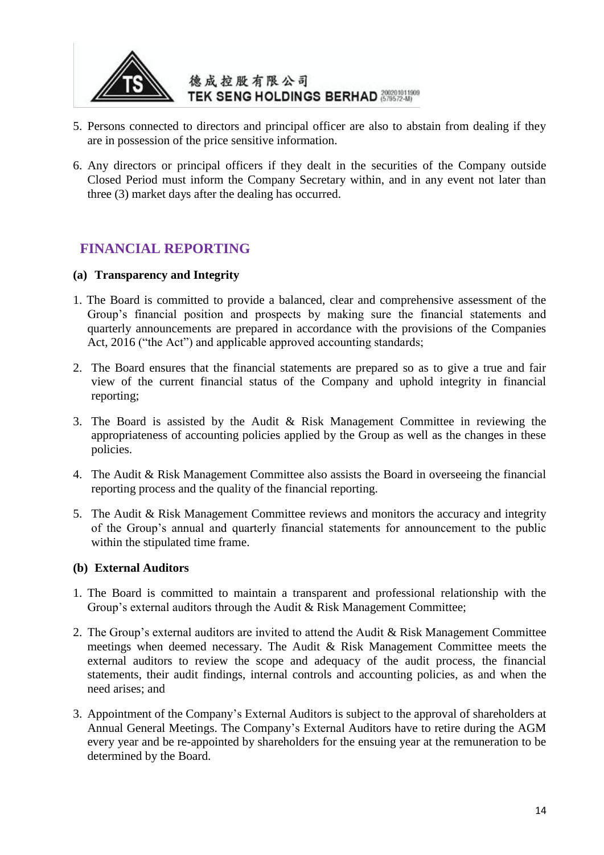

- 5. Persons connected to directors and principal officer are also to abstain from dealing if they are in possession of the price sensitive information.
- 6. Any directors or principal officers if they dealt in the securities of the Company outside Closed Period must inform the Company Secretary within, and in any event not later than three (3) market days after the dealing has occurred.

## **FINANCIAL REPORTING**

#### **(a) Transparency and Integrity**

- 1. The Board is committed to provide a balanced, clear and comprehensive assessment of the Group's financial position and prospects by making sure the financial statements and quarterly announcements are prepared in accordance with the provisions of the Companies Act, 2016 ("the Act") and applicable approved accounting standards;
- 2. The Board ensures that the financial statements are prepared so as to give a true and fair view of the current financial status of the Company and uphold integrity in financial reporting;
- 3. The Board is assisted by the Audit & Risk Management Committee in reviewing the appropriateness of accounting policies applied by the Group as well as the changes in these policies.
- 4. The Audit & Risk Management Committee also assists the Board in overseeing the financial reporting process and the quality of the financial reporting.
- 5. The Audit & Risk Management Committee reviews and monitors the accuracy and integrity of the Group's annual and quarterly financial statements for announcement to the public within the stipulated time frame.

#### **(b) External Auditors**

- 1. The Board is committed to maintain a transparent and professional relationship with the Group's external auditors through the Audit & Risk Management Committee;
- 2. The Group's external auditors are invited to attend the Audit & Risk Management Committee meetings when deemed necessary. The Audit & Risk Management Committee meets the external auditors to review the scope and adequacy of the audit process, the financial statements, their audit findings, internal controls and accounting policies, as and when the need arises; and
- 3. Appointment of the Company's External Auditors is subject to the approval of shareholders at Annual General Meetings. The Company's External Auditors have to retire during the AGM every year and be re-appointed by shareholders for the ensuing year at the remuneration to be determined by the Board.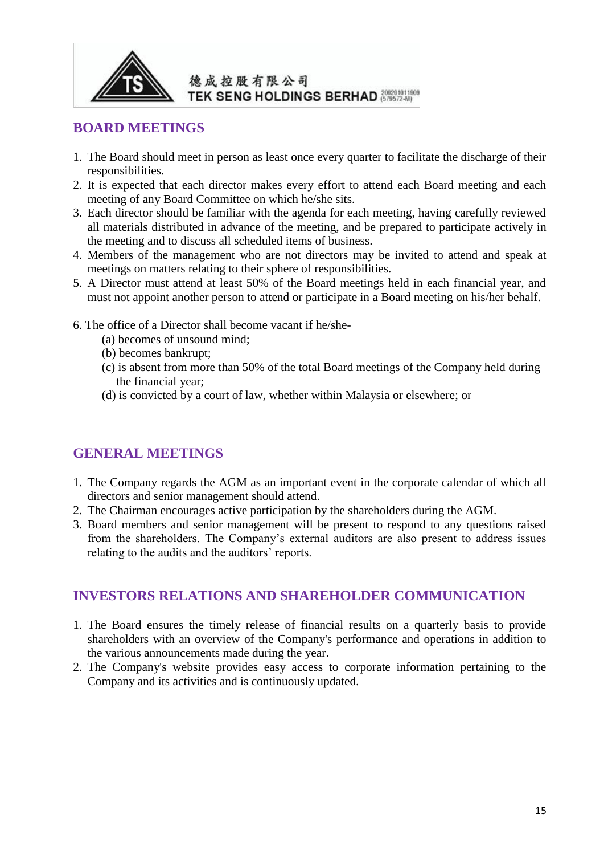

### **BOARD MEETINGS**

- 1. The Board should meet in person as least once every quarter to facilitate the discharge of their responsibilities.
- 2. It is expected that each director makes every effort to attend each Board meeting and each meeting of any Board Committee on which he/she sits.
- 3. Each director should be familiar with the agenda for each meeting, having carefully reviewed all materials distributed in advance of the meeting, and be prepared to participate actively in the meeting and to discuss all scheduled items of business.
- 4. Members of the management who are not directors may be invited to attend and speak at meetings on matters relating to their sphere of responsibilities.
- 5. A Director must attend at least 50% of the Board meetings held in each financial year, and must not appoint another person to attend or participate in a Board meeting on his/her behalf.
- 6. The office of a Director shall become vacant if he/she-
	- (a) becomes of unsound mind;
	- (b) becomes bankrupt;
	- (c) is absent from more than 50% of the total Board meetings of the Company held during the financial year;
	- (d) is convicted by a court of law, whether within Malaysia or elsewhere; or

# **GENERAL MEETINGS**

- 1. The Company regards the AGM as an important event in the corporate calendar of which all directors and senior management should attend.
- 2. The Chairman encourages active participation by the shareholders during the AGM.
- 3. Board members and senior management will be present to respond to any questions raised from the shareholders. The Company's external auditors are also present to address issues relating to the audits and the auditors' reports.

## **INVESTORS RELATIONS AND SHAREHOLDER COMMUNICATION**

- 1. The Board ensures the timely release of financial results on a quarterly basis to provide shareholders with an overview of the Company's performance and operations in addition to the various announcements made during the year.
- 2. The Company's website provides easy access to corporate information pertaining to the Company and its activities and is continuously updated.